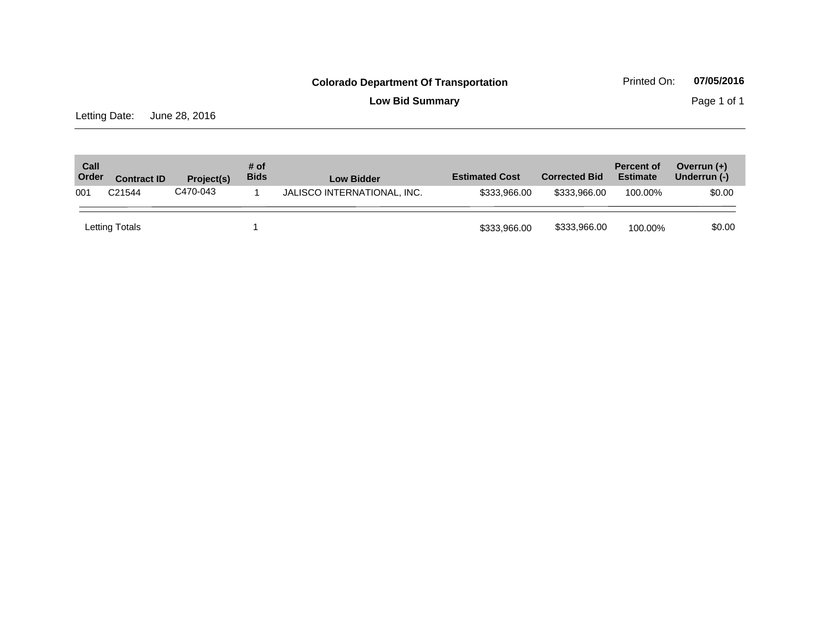**Low Bid Summary** Page 1 of 1

Letting Date: June 28, 2016

| Call<br>Order | <b>Contract ID</b> | Project(s) | # of<br><b>Bids</b> | <b>Low Bidder</b>           | <b>Estimated Cost</b> | <b>Corrected Bid</b> | <b>Percent of</b><br><b>Estimate</b> | Overrun $(+)$<br>Underrun (-) |
|---------------|--------------------|------------|---------------------|-----------------------------|-----------------------|----------------------|--------------------------------------|-------------------------------|
| 001           | C <sub>21544</sub> | C470-043   |                     | JALISCO INTERNATIONAL, INC. | \$333,966,00          | \$333,966,00         | 100.00%                              | \$0.00                        |
|               | Letting Totals     |            |                     |                             | \$333,966.00          | \$333,966.00         | 100.00%                              | \$0.00                        |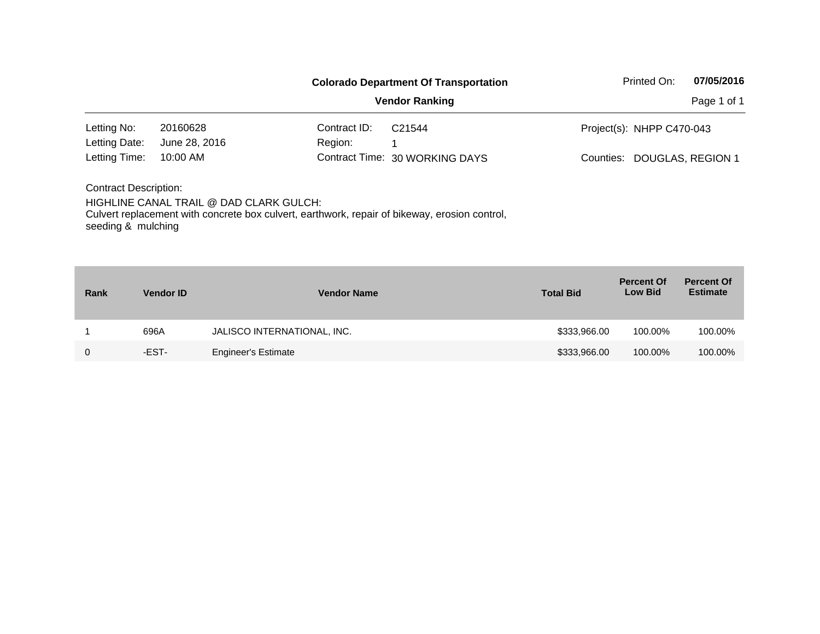|                                                    |                                         |              | <b>Colorado Department Of Transportation</b>                                                  | Printed On:               | 07/05/2016               |
|----------------------------------------------------|-----------------------------------------|--------------|-----------------------------------------------------------------------------------------------|---------------------------|--------------------------|
|                                                    | <b>Vendor Ranking</b>                   |              |                                                                                               |                           | Page 1 of 1              |
| Letting No:                                        | 20160628                                | Contract ID: | C <sub>21544</sub>                                                                            | Project(s): NHPP C470-043 |                          |
| Letting Date:                                      | June 28, 2016                           | Region:      |                                                                                               |                           |                          |
| Letting Time:                                      | $10:00$ AM                              |              | Contract Time: 30 WORKING DAYS                                                                | Counties:                 | <b>DOUGLAS, REGION 1</b> |
| <b>Contract Description:</b><br>seeding & mulching | HIGHLINE CANAL TRAIL @ DAD CLARK GULCH: |              | Culvert replacement with concrete box culvert, earthwork, repair of bikeway, erosion control, |                           |                          |

| Rank | <b>Vendor ID</b> | <b>Vendor Name</b>          | <b>Total Bid</b> | <b>Percent Of</b><br><b>Low Bid</b> | <b>Percent Of</b><br><b>Estimate</b> |
|------|------------------|-----------------------------|------------------|-------------------------------------|--------------------------------------|
|      | 696A             | JALISCO INTERNATIONAL, INC. | \$333,966.00     | 100.00%                             | 100.00%                              |
| 0    | -EST-            | <b>Engineer's Estimate</b>  | \$333,966.00     | 100.00%                             | 100.00%                              |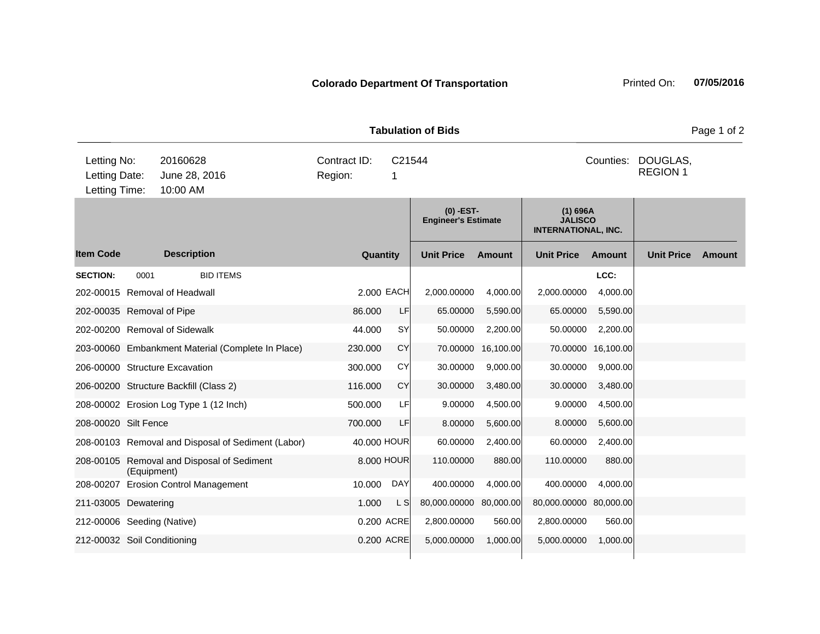|                                               |      |                                                    | <b>Tabulation of Bids</b> | Page 1 of 2 |                                           |               |                                                            |           |                             |        |
|-----------------------------------------------|------|----------------------------------------------------|---------------------------|-------------|-------------------------------------------|---------------|------------------------------------------------------------|-----------|-----------------------------|--------|
| Letting No:<br>Letting Date:<br>Letting Time: |      | 20160628<br>June 28, 2016<br>10:00 AM              | Contract ID:<br>Region:   |             | C21544<br>Counties:                       |               |                                                            |           | DOUGLAS,<br><b>REGION 1</b> |        |
|                                               |      |                                                    |                           |             | $(0)$ -EST-<br><b>Engineer's Estimate</b> |               | $(1)$ 696A<br><b>JALISCO</b><br><b>INTERNATIONAL, INC.</b> |           |                             |        |
| <b>Item Code</b>                              |      | <b>Description</b>                                 |                           | Quantity    | <b>Unit Price</b>                         | <b>Amount</b> | <b>Unit Price</b>                                          | Amount    | <b>Unit Price</b>           | Amount |
| <b>SECTION:</b>                               | 0001 | <b>BID ITEMS</b>                                   |                           |             |                                           |               |                                                            | LCC:      |                             |        |
|                                               |      | 202-00015 Removal of Headwall                      |                           | 2,000 EACH  | 2,000.00000                               | 4,000.00      | 2,000.00000                                                | 4,000.00  |                             |        |
| 202-00035 Removal of Pipe                     |      |                                                    | 86.000                    | LF          | 65.00000                                  | 5,590.00      | 65.00000                                                   | 5,590.00  |                             |        |
|                                               |      | 202-00200 Removal of Sidewalk                      | 44.000                    | SY          | 50.00000                                  | 2,200.00      | 50.00000                                                   | 2,200.00  |                             |        |
|                                               |      | 203-00060 Embankment Material (Complete In Place)  | 230.000                   | <b>CY</b>   | 70.00000                                  | 16,100.00     | 70.00000                                                   | 16,100.00 |                             |        |
|                                               |      | 206-00000 Structure Excavation                     | 300.000                   | CY          | 30.00000                                  | 9,000.00      | 30.00000                                                   | 9,000.00  |                             |        |
|                                               |      | 206-00200 Structure Backfill (Class 2)             | 116.000                   | <b>CY</b>   | 30.00000                                  | 3,480.00      | 30.00000                                                   | 3,480.00  |                             |        |
|                                               |      | 208-00002 Erosion Log Type 1 (12 Inch)             | 500.000                   | LF          | 9.00000                                   | 4,500.00      | 9.00000                                                    | 4,500.00  |                             |        |
| 208-00020 Silt Fence                          |      |                                                    | 700.000                   | LF          | 8.00000                                   | 5,600.00      | 8.00000                                                    | 5,600.00  |                             |        |
|                                               |      | 208-00103 Removal and Disposal of Sediment (Labor) |                           | 40.000 HOUR | 60.00000                                  | 2,400.00      | 60.00000                                                   | 2,400.00  |                             |        |
|                                               |      | 208-00105 Removal and Disposal of Sediment         |                           | 8.000 HOUR  | 110.00000                                 | 880.00        | 110.00000                                                  | 880.00    |                             |        |

208-00207 Erosion Control Management 10.000 DAY 400.00000 4,000.00 400.00000 4,000.00 211-03005 Dewatering 211-03005 Dewatering 211-0300 L S 80,000.00000 80,000.00 80,000.0000 80,000.00 212-00006 Seeding (Native) 0.200 ACRE 2,800.00000 560.00 2,800.00000 560.00 212-00032 Soil Conditioning 212-00032 Soil Conditioning 2000 1000000 0.200 ACRE 5,000.00000 1,000.00 5,000.0000 1,000.00

(Equipment)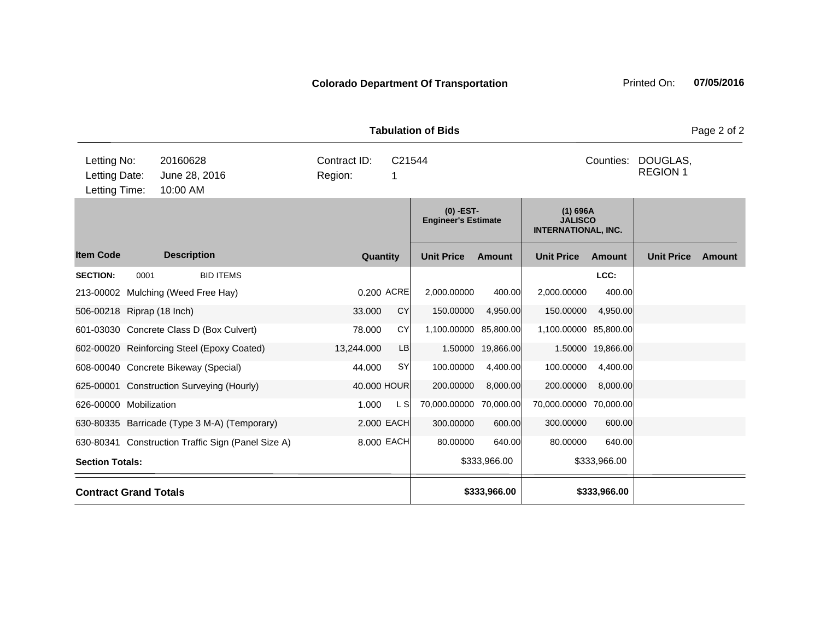|                                               |      |                                                    |                         |             | <b>Tabulation of Bids</b>                 |               |                                                            |                   |                             | Page 2 of 2   |
|-----------------------------------------------|------|----------------------------------------------------|-------------------------|-------------|-------------------------------------------|---------------|------------------------------------------------------------|-------------------|-----------------------------|---------------|
| Letting No:<br>Letting Date:<br>Letting Time: |      | 20160628<br>June 28, 2016<br>10:00 AM              | Contract ID:<br>Region: | C21544      |                                           |               |                                                            | Counties:         | DOUGLAS,<br><b>REGION 1</b> |               |
|                                               |      |                                                    |                         |             | $(0)$ -EST-<br><b>Engineer's Estimate</b> |               | $(1)$ 696A<br><b>JALISCO</b><br><b>INTERNATIONAL, INC.</b> |                   |                             |               |
| <b>Item Code</b>                              |      | <b>Description</b>                                 |                         | Quantity    | <b>Unit Price</b>                         | <b>Amount</b> | <b>Unit Price</b>                                          | <b>Amount</b>     | <b>Unit Price</b>           | <b>Amount</b> |
| <b>SECTION:</b>                               | 0001 | <b>BID ITEMS</b>                                   |                         |             |                                           |               |                                                            | LCC:              |                             |               |
|                                               |      | 213-00002 Mulching (Weed Free Hay)                 |                         | 0.200 ACRE  | 2,000.00000                               | 400.00        | 2,000.00000                                                | 400.00            |                             |               |
| 506-00218 Riprap (18 Inch)                    |      |                                                    | 33.000                  | CY          | 150.00000                                 | 4,950.00      | 150.00000                                                  | 4,950.00          |                             |               |
|                                               |      | 601-03030 Concrete Class D (Box Culvert)           | 78.000                  | <b>CY</b>   | 1,100.00000 85,800.00                     |               | 1,100.00000 85,800.00                                      |                   |                             |               |
|                                               |      | 602-00020 Reinforcing Steel (Epoxy Coated)         | 13,244.000              | LB          | 1.50000                                   | 19,866.00     |                                                            | 1.50000 19,866.00 |                             |               |
|                                               |      | 608-00040 Concrete Bikeway (Special)               | 44.000                  | SY          | 100.00000                                 | 4,400.00      | 100.00000                                                  | 4,400.00          |                             |               |
|                                               |      | 625-00001 Construction Surveying (Hourly)          |                         | 40.000 HOUR | 200.00000                                 | 8,000.00      | 200.00000                                                  | 8,000.00          |                             |               |
| 626-00000 Mobilization                        |      |                                                    | 1.000                   | L S         | 70,000.00000                              | 70,000.00     | 70,000.00000 70,000.00                                     |                   |                             |               |
|                                               |      | 630-80335 Barricade (Type 3 M-A) (Temporary)       |                         | 2.000 EACH  | 300.00000                                 | 600.00        | 300.00000                                                  | 600.00            |                             |               |
|                                               |      | 630-80341 Construction Traffic Sign (Panel Size A) |                         | 8.000 EACH  | 80.00000                                  | 640.00        | 80.00000                                                   | 640.00            |                             |               |
| <b>Section Totals:</b>                        |      |                                                    |                         |             |                                           | \$333,966.00  |                                                            | \$333,966.00      |                             |               |
| <b>Contract Grand Totals</b>                  |      |                                                    |                         |             |                                           | \$333,966.00  |                                                            | \$333,966.00      |                             |               |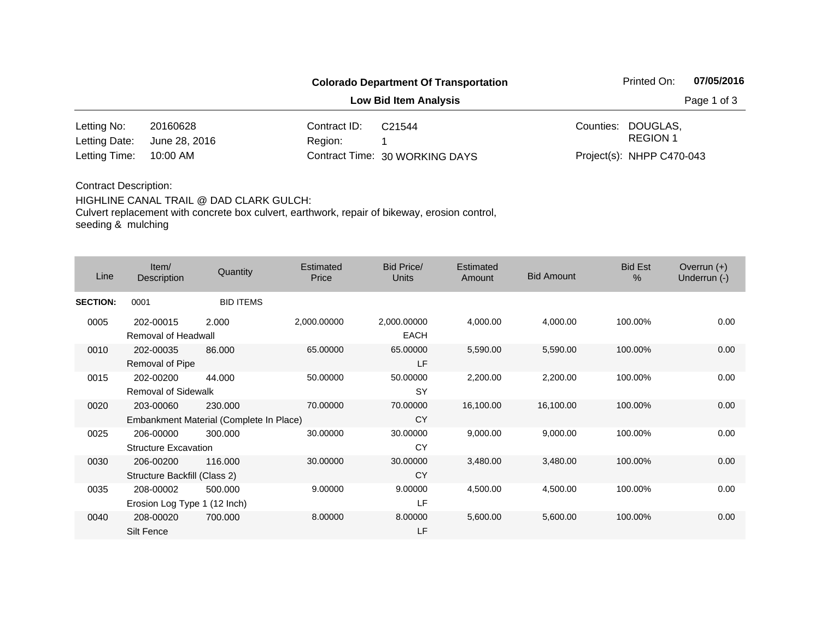**Low Bid Item Analysis Page 1 of 3** 

| Letting No:                 | 20160628 | Contract ID:                                                                                                   | C21544                         | Counties: DOUGLAS.        |
|-----------------------------|----------|----------------------------------------------------------------------------------------------------------------|--------------------------------|---------------------------|
| Letting Date: June 28, 2016 |          | Region: Regional State State State State State State State State State State State State State State State Sta |                                | REGION 1                  |
| Letting Time: 10:00 AM      |          |                                                                                                                | Contract Time: 30 WORKING DAYS | Project(s): NHPP C470-043 |

### Contract Description:

### HIGHLINE CANAL TRAIL @ DAD CLARK GULCH:

Culvert replacement with concrete box culvert, earthwork, repair of bikeway, erosion control, seeding & mulching

| Line            | Item/<br>Description                      | Quantity                                           | Estimated<br>Price | Bid Price/<br><b>Units</b> | Estimated<br>Amount | <b>Bid Amount</b> | <b>Bid Est</b><br>$\frac{0}{0}$ | Overrun $(+)$<br>Underrun (-) |
|-----------------|-------------------------------------------|----------------------------------------------------|--------------------|----------------------------|---------------------|-------------------|---------------------------------|-------------------------------|
| <b>SECTION:</b> | 0001                                      | <b>BID ITEMS</b>                                   |                    |                            |                     |                   |                                 |                               |
| 0005            | 202-00015<br>Removal of Headwall          | 2.000                                              | 2,000.00000        | 2,000.00000<br><b>EACH</b> | 4,000.00            | 4,000.00          | 100.00%                         | 0.00                          |
| 0010            | 202-00035<br>Removal of Pipe              | 86.000                                             | 65.00000           | 65.00000<br>LF             | 5,590.00            | 5,590.00          | 100.00%                         | 0.00                          |
| 0015            | 202-00200<br><b>Removal of Sidewalk</b>   | 44.000                                             | 50.00000           | 50.00000<br><b>SY</b>      | 2,200.00            | 2,200.00          | 100.00%                         | 0.00                          |
| 0020            | 203-00060                                 | 230.000<br>Embankment Material (Complete In Place) | 70.00000           | 70.00000<br><b>CY</b>      | 16,100.00           | 16,100.00         | 100.00%                         | 0.00                          |
| 0025            | 206-00000<br><b>Structure Excavation</b>  | 300.000                                            | 30.00000           | 30.00000<br>CY             | 9,000.00            | 9,000.00          | 100.00%                         | 0.00                          |
| 0030            | 206-00200<br>Structure Backfill (Class 2) | 116.000                                            | 30.00000           | 30.00000<br><b>CY</b>      | 3,480.00            | 3,480.00          | 100.00%                         | 0.00                          |
| 0035            | 208-00002<br>Erosion Log Type 1 (12 Inch) | 500.000                                            | 9.00000            | 9.00000<br>LF              | 4,500.00            | 4,500.00          | 100.00%                         | 0.00                          |
| 0040            | 208-00020<br>Silt Fence                   | 700.000                                            | 8.00000            | 8.00000<br>LF              | 5,600.00            | 5,600.00          | 100.00%                         | 0.00                          |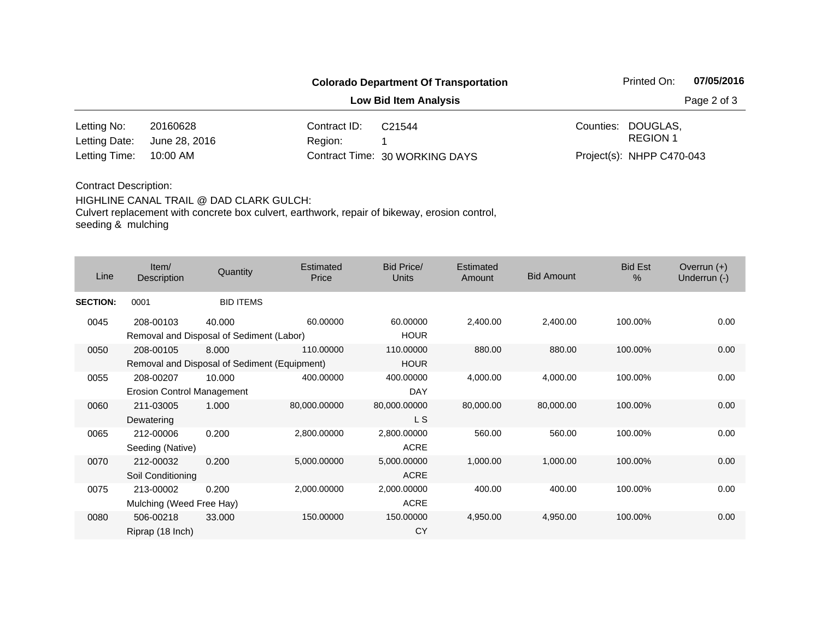**Low Bid Item Analysis Page 2 of 3** 

| Letting No:                 | 20160628 | Contract ID: | C <sub>21544</sub>             | Counties: DOUGLAS.        |
|-----------------------------|----------|--------------|--------------------------------|---------------------------|
| Letting Date: June 28, 2016 |          | Region:      |                                | REGION 1                  |
| Letting Time: 10:00 AM      |          |              | Contract Time: 30 WORKING DAYS | Project(s): NHPP C470-043 |

### Contract Description:

#### HIGHLINE CANAL TRAIL @ DAD CLARK GULCH:

Culvert replacement with concrete box culvert, earthwork, repair of bikeway, erosion control, seeding & mulching

| Line            | Item/<br>Description                                      | Quantity         | Estimated<br>Price | Bid Price/<br><b>Units</b> | Estimated<br><b>Amount</b> | <b>Bid Amount</b> | <b>Bid Est</b><br>$\%$ | Overrun $(+)$<br>Underrun (-) |
|-----------------|-----------------------------------------------------------|------------------|--------------------|----------------------------|----------------------------|-------------------|------------------------|-------------------------------|
| <b>SECTION:</b> | 0001                                                      | <b>BID ITEMS</b> |                    |                            |                            |                   |                        |                               |
| 0045            | 208-00103<br>Removal and Disposal of Sediment (Labor)     | 40.000           | 60.00000           | 60.00000<br><b>HOUR</b>    | 2,400.00                   | 2,400.00          | 100.00%                | 0.00                          |
| 0050            | 208-00105<br>Removal and Disposal of Sediment (Equipment) | 8.000            | 110.00000          | 110.00000<br><b>HOUR</b>   | 880.00                     | 880.00            | 100.00%                | 0.00                          |
| 0055            | 208-00207<br><b>Erosion Control Management</b>            | 10.000           | 400.00000          | 400.00000<br><b>DAY</b>    | 4,000.00                   | 4,000.00          | 100.00%                | 0.00                          |
| 0060            | 211-03005<br>Dewatering                                   | 1.000            | 80,000.00000       | 80,000.00000<br>L S        | 80,000.00                  | 80,000.00         | 100.00%                | 0.00                          |
| 0065            | 212-00006<br>Seeding (Native)                             | 0.200            | 2,800.00000        | 2,800.00000<br><b>ACRE</b> | 560.00                     | 560.00            | 100.00%                | 0.00                          |
| 0070            | 212-00032<br>Soil Conditioning                            | 0.200            | 5,000.00000        | 5,000.00000<br><b>ACRE</b> | 1,000.00                   | 1,000.00          | 100.00%                | 0.00                          |
| 0075            | 213-00002<br>Mulching (Weed Free Hay)                     | 0.200            | 2,000.00000        | 2,000.00000<br><b>ACRE</b> | 400.00                     | 400.00            | 100.00%                | 0.00                          |
| 0080            | 506-00218<br>Riprap (18 Inch)                             | 33.000           | 150.00000          | 150.00000<br>CY            | 4,950.00                   | 4,950.00          | 100.00%                | 0.00                          |